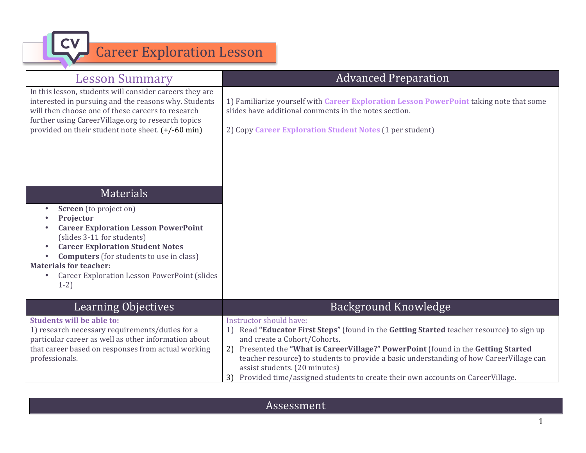Career Exploration Lesson

| <b>Lesson Summary</b>                                                                                                                                                                                                      | <b>Advanced Preparation</b>                                                                                                                                                                                                                                                                                                                                                                                                                                       |
|----------------------------------------------------------------------------------------------------------------------------------------------------------------------------------------------------------------------------|-------------------------------------------------------------------------------------------------------------------------------------------------------------------------------------------------------------------------------------------------------------------------------------------------------------------------------------------------------------------------------------------------------------------------------------------------------------------|
| In this lesson, students will consider careers they are<br>interested in pursuing and the reasons why. Students<br>will then choose one of these careers to research<br>further using CareerVillage.org to research topics | 1) Familiarize yourself with Career Exploration Lesson PowerPoint taking note that some<br>slides have additional comments in the notes section.                                                                                                                                                                                                                                                                                                                  |
| provided on their student note sheet. (+/-60 min)                                                                                                                                                                          | 2) Copy Career Exploration Student Notes (1 per student)                                                                                                                                                                                                                                                                                                                                                                                                          |
|                                                                                                                                                                                                                            |                                                                                                                                                                                                                                                                                                                                                                                                                                                                   |
| Materials                                                                                                                                                                                                                  |                                                                                                                                                                                                                                                                                                                                                                                                                                                                   |
| <b>Screen</b> (to project on)<br>$\bullet$<br>Projector                                                                                                                                                                    |                                                                                                                                                                                                                                                                                                                                                                                                                                                                   |
| <b>Career Exploration Lesson PowerPoint</b><br>(slides 3-11 for students)<br><b>Career Exploration Student Notes</b><br><b>Computers</b> (for students to use in class)                                                    |                                                                                                                                                                                                                                                                                                                                                                                                                                                                   |
| <b>Materials for teacher:</b>                                                                                                                                                                                              |                                                                                                                                                                                                                                                                                                                                                                                                                                                                   |
| <b>Career Exploration Lesson PowerPoint (slides</b><br>$1-2)$                                                                                                                                                              |                                                                                                                                                                                                                                                                                                                                                                                                                                                                   |
|                                                                                                                                                                                                                            |                                                                                                                                                                                                                                                                                                                                                                                                                                                                   |
| <b>Learning Objectives</b>                                                                                                                                                                                                 | <b>Background Knowledge</b>                                                                                                                                                                                                                                                                                                                                                                                                                                       |
| <b>Students will be able to:</b><br>1) research necessary requirements/duties for a<br>particular career as well as other information about<br>that career based on responses from actual working<br>professionals.        | Instructor should have:<br>Read "Educator First Steps" (found in the Getting Started teacher resource) to sign up<br>1)<br>and create a Cohort/Cohorts.<br>2) Presented the "What is CareerVillage?" PowerPoint (found in the Getting Started<br>teacher resource) to students to provide a basic understanding of how CareerVillage can<br>assist students. (20 minutes)<br>Provided time/assigned students to create their own accounts on CareerVillage.<br>3) |